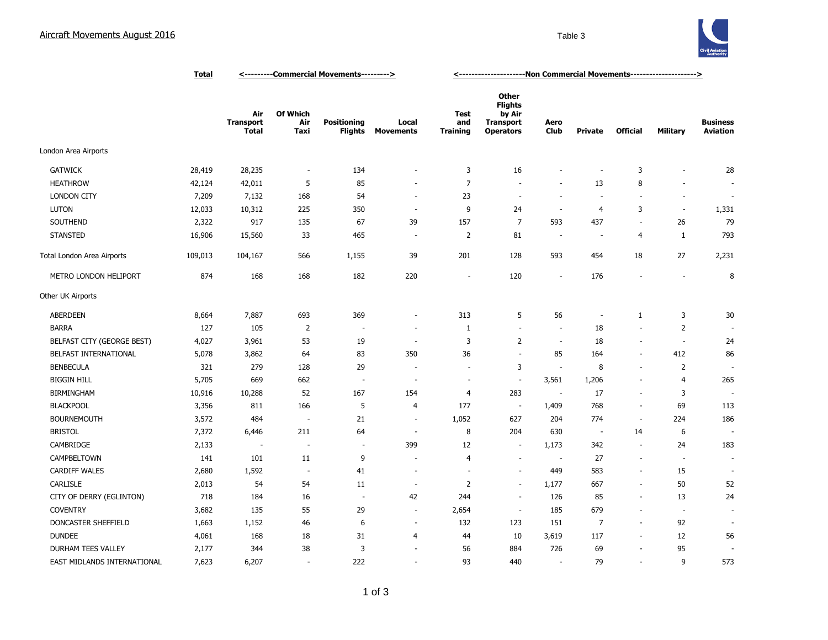

|                             | <u>Total</u> | <---------Commercial Movements---------> |                                |                                      |                           | <-----------------------Non Commercial Movements---------------------> |                                                                                  |                          |                          |                          |                          |                                    |
|-----------------------------|--------------|------------------------------------------|--------------------------------|--------------------------------------|---------------------------|------------------------------------------------------------------------|----------------------------------------------------------------------------------|--------------------------|--------------------------|--------------------------|--------------------------|------------------------------------|
|                             |              | Air<br><b>Transport</b><br><b>Total</b>  | <b>Of Which</b><br>Air<br>Taxi | <b>Positioning</b><br><b>Flights</b> | Local<br><b>Movements</b> | Test<br>and<br><b>Training</b>                                         | <b>Other</b><br><b>Flights</b><br>by Air<br><b>Transport</b><br><b>Operators</b> | Aero<br><b>Club</b>      | <b>Private</b>           | <b>Official</b>          | <b>Military</b>          | <b>Business</b><br><b>Aviation</b> |
| London Area Airports        |              |                                          |                                |                                      |                           |                                                                        |                                                                                  |                          |                          |                          |                          |                                    |
| <b>GATWICK</b>              | 28,419       | 28,235                                   | $\sim$                         | 134                                  | ٠                         | 3                                                                      | 16                                                                               |                          | ä,                       | 3                        | ٠                        | 28                                 |
| <b>HEATHROW</b>             | 42,124       | 42,011                                   | 5                              | 85                                   |                           | $\overline{7}$                                                         | $\blacksquare$                                                                   | ÷.                       | 13                       | 8                        | ÷,                       |                                    |
| <b>LONDON CITY</b>          | 7,209        | 7,132                                    | 168                            | 54                                   | ÷,                        | 23                                                                     | $\sim$                                                                           | ÷.                       | ÷,                       | $\sim$                   | ÷,                       | $\overline{\phantom{a}}$           |
| <b>LUTON</b>                | 12,033       | 10,312                                   | 225                            | 350                                  | ÷.                        | 9                                                                      | 24                                                                               | $\sim$                   | $\overline{4}$           | 3                        | $\sim$                   | 1,331                              |
| SOUTHEND                    | 2,322        | 917                                      | 135                            | 67                                   | 39                        | 157                                                                    | $\overline{7}$                                                                   | 593                      | 437                      | $\overline{a}$           | 26                       | 79                                 |
| <b>STANSTED</b>             | 16,906       | 15,560                                   | 33                             | 465                                  | $\overline{a}$            | 2                                                                      | 81                                                                               | $\sim$                   | $\overline{\phantom{a}}$ | 4                        | 1                        | 793                                |
| Total London Area Airports  | 109,013      | 104,167                                  | 566                            | 1,155                                | 39                        | 201                                                                    | 128                                                                              | 593                      | 454                      | 18                       | 27                       | 2,231                              |
| METRO LONDON HELIPORT       | 874          | 168                                      | 168                            | 182                                  | 220                       | $\overline{\phantom{a}}$                                               | 120                                                                              | $\overline{\phantom{a}}$ | 176                      | $\sim$                   | ÷,                       | 8                                  |
| Other UK Airports           |              |                                          |                                |                                      |                           |                                                                        |                                                                                  |                          |                          |                          |                          |                                    |
| <b>ABERDEEN</b>             | 8,664        | 7,887                                    | 693                            | 369                                  | ٠                         | 313                                                                    | 5                                                                                | 56                       | $\overline{\phantom{a}}$ | $\mathbf{1}$             | 3                        | 30                                 |
| <b>BARRA</b>                | 127          | 105                                      | $\overline{2}$                 |                                      |                           | $\mathbf{1}$                                                           | $\overline{\phantom{a}}$                                                         | $\sim$                   | 18                       |                          | $\overline{2}$           |                                    |
| BELFAST CITY (GEORGE BEST)  | 4,027        | 3,961                                    | 53                             | 19                                   | $\overline{\phantom{a}}$  | 3                                                                      | $\overline{2}$                                                                   | $\sim$                   | 18                       | $\overline{\phantom{a}}$ | $\sim$                   | 24                                 |
| BELFAST INTERNATIONAL       | 5,078        | 3,862                                    | 64                             | 83                                   | 350                       | 36                                                                     | $\sim$                                                                           | 85                       | 164                      | ÷.                       | 412                      | 86                                 |
| <b>BENBECULA</b>            | 321          | 279                                      | 128                            | 29                                   |                           | $\sim$                                                                 | 3                                                                                | $\overline{\phantom{a}}$ | 8                        | $\overline{\phantom{a}}$ | $\overline{2}$           | $\sim$                             |
| <b>BIGGIN HILL</b>          | 5,705        | 669                                      | 662                            | $\sim$                               | $\overline{\phantom{a}}$  | $\sim$                                                                 | $\overline{\phantom{a}}$                                                         | 3,561                    | 1,206                    | $\sim$                   | $\overline{4}$           | 265                                |
| <b>BIRMINGHAM</b>           | 10,916       | 10,288                                   | 52                             | 167                                  | 154                       | 4                                                                      | 283                                                                              | $\overline{\phantom{a}}$ | 17                       | $\overline{\phantom{a}}$ | 3                        |                                    |
| <b>BLACKPOOL</b>            | 3,356        | 811                                      | 166                            | 5                                    | $\overline{4}$            | 177                                                                    | $\overline{\phantom{a}}$                                                         | 1,409                    | 768                      | $\sim$                   | 69                       | 113                                |
| <b>BOURNEMOUTH</b>          | 3,572        | 484                                      | $\overline{\phantom{a}}$       | 21                                   | $\overline{\phantom{a}}$  | 1,052                                                                  | 627                                                                              | 204                      | 774                      | $\sim$                   | 224                      | 186                                |
| <b>BRISTOL</b>              | 7,372        | 6,446                                    | 211                            | 64                                   | $\overline{\phantom{a}}$  | 8                                                                      | 204                                                                              | 630                      | $\sim$                   | 14                       | 6                        |                                    |
| CAMBRIDGE                   | 2,133        | ÷,                                       |                                | $\sim$                               | 399                       | 12                                                                     | $\overline{\phantom{a}}$                                                         | 1,173                    | 342                      | $\overline{\phantom{a}}$ | 24                       | 183                                |
| CAMPBELTOWN                 | 141          | 101                                      | 11                             | 9                                    | ä,                        | $\overline{4}$                                                         | ÷,                                                                               | $\sim$                   | 27                       | $\overline{\phantom{a}}$ | $\overline{\phantom{a}}$ | $\overline{\phantom{a}}$           |
| CARDIFF WALES               | 2,680        | 1,592                                    | $\overline{\phantom{a}}$       | 41                                   | $\overline{\phantom{a}}$  |                                                                        | ÷.                                                                               | 449                      | 583                      | $\sim$                   | 15                       | $\overline{\phantom{a}}$           |
| CARLISLE                    | 2,013        | 54                                       | 54                             | 11                                   | $\sim$                    | $\overline{2}$                                                         | $\sim$                                                                           | 1,177                    | 667                      | ÷.                       | 50                       | 52                                 |
| CITY OF DERRY (EGLINTON)    | 718          | 184                                      | 16                             | $\sim$                               | 42                        | 244                                                                    | $\sim$                                                                           | 126                      | 85                       | $\sim$                   | 13                       | 24                                 |
| <b>COVENTRY</b>             | 3,682        | 135                                      | 55                             | 29                                   | $\overline{\phantom{a}}$  | 2,654                                                                  | $\overline{\phantom{a}}$                                                         | 185                      | 679                      | $\sim$                   | $\overline{\phantom{a}}$ |                                    |
| DONCASTER SHEFFIELD         | 1,663        | 1,152                                    | 46                             | 6                                    | $\overline{\phantom{a}}$  | 132                                                                    | 123                                                                              | 151                      | $\overline{7}$           | $\overline{\phantom{a}}$ | 92                       |                                    |
| <b>DUNDEE</b>               | 4,061        | 168                                      | 18                             | 31                                   | $\overline{4}$            | 44                                                                     | 10                                                                               | 3,619                    | 117                      | $\overline{\phantom{a}}$ | 12                       | 56                                 |
| DURHAM TEES VALLEY          | 2,177        | 344                                      | 38                             | 3                                    | ÷,                        | 56                                                                     | 884                                                                              | 726                      | 69                       | $\sim$                   | 95                       |                                    |
| EAST MIDLANDS INTERNATIONAL | 7,623        | 6,207                                    | $\overline{a}$                 | 222                                  | ÷                         | 93                                                                     | 440                                                                              | ÷.                       | 79                       | $\sim$                   | 9                        | 573                                |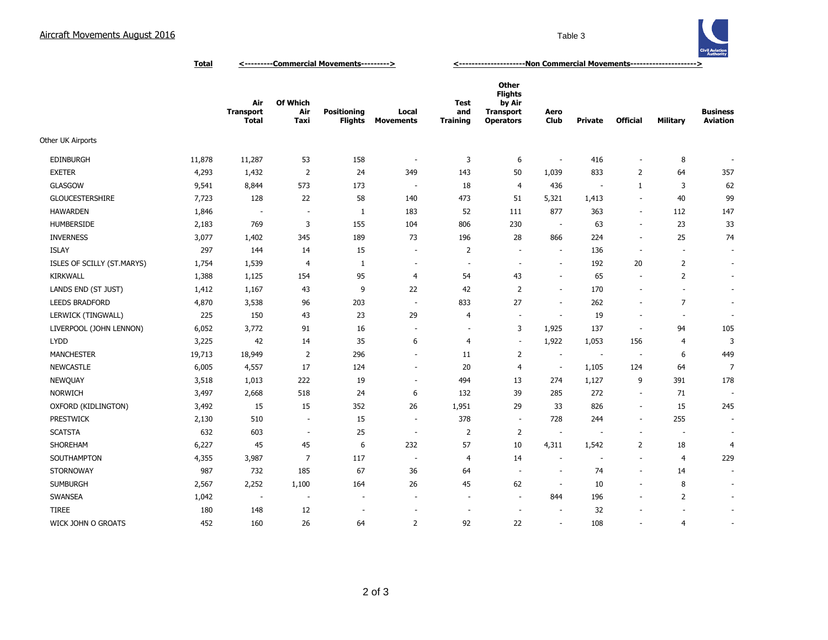## Aircraft Movements August 2016 **Table 3** Table 3



**Total <---------Commercial Movements---------> <---------------------Non Commercial Movements--------------------->**

|                            |        | Air<br><b>Transport</b><br><b>Total</b> | Of Which<br>Air<br>Taxi  | <b>Positioning</b><br><b>Flights</b> | Local<br><b>Movements</b> | <b>Test</b><br>and<br><b>Training</b> | <b>Other</b><br><b>Flights</b><br>by Air<br><b>Transport</b><br><b>Operators</b> | Aero<br>Club             | <b>Private</b>           | <b>Official</b>          | Military                 | <b>Business</b><br><b>Aviation</b> |
|----------------------------|--------|-----------------------------------------|--------------------------|--------------------------------------|---------------------------|---------------------------------------|----------------------------------------------------------------------------------|--------------------------|--------------------------|--------------------------|--------------------------|------------------------------------|
| Other UK Airports          |        |                                         |                          |                                      |                           |                                       |                                                                                  |                          |                          |                          |                          |                                    |
| <b>EDINBURGH</b>           | 11,878 | 11,287                                  | 53                       | 158                                  | $\overline{\phantom{a}}$  | 3                                     | 6                                                                                | $\sim$                   | 416                      | $\overline{\phantom{a}}$ | 8                        |                                    |
| <b>EXETER</b>              | 4,293  | 1,432                                   | 2                        | 24                                   | 349                       | 143                                   | 50                                                                               | 1,039                    | 833                      | $\overline{2}$           | 64                       | 357                                |
| <b>GLASGOW</b>             | 9,541  | 8,844                                   | 573                      | 173                                  | $\sim$                    | 18                                    | $\overline{4}$                                                                   | 436                      | $\overline{\phantom{a}}$ | $\mathbf{1}$             | 3                        | 62                                 |
| <b>GLOUCESTERSHIRE</b>     | 7,723  | 128                                     | 22                       | 58                                   | 140                       | 473                                   | 51                                                                               | 5,321                    | 1,413                    | $\overline{\phantom{a}}$ | 40                       | 99                                 |
| <b>HAWARDEN</b>            | 1,846  | $\sim$                                  | ÷,                       | 1                                    | 183                       | 52                                    | 111                                                                              | 877                      | 363                      | $\overline{\phantom{a}}$ | 112                      | 147                                |
| <b>HUMBERSIDE</b>          | 2,183  | 769                                     | 3                        | 155                                  | 104                       | 806                                   | 230                                                                              | $\sim$                   | 63                       | $\overline{\phantom{a}}$ | 23                       | 33                                 |
| <b>INVERNESS</b>           | 3,077  | 1,402                                   | 345                      | 189                                  | 73                        | 196                                   | 28                                                                               | 866                      | 224                      | $\overline{\phantom{a}}$ | 25                       | 74                                 |
| <b>ISLAY</b>               | 297    | 144                                     | 14                       | 15                                   | $\overline{\phantom{a}}$  | $\overline{2}$                        | $\overline{\phantom{a}}$                                                         | $\overline{\phantom{a}}$ | 136                      | $\sim$                   | $\sim$                   | $\overline{\phantom{a}}$           |
| ISLES OF SCILLY (ST.MARYS) | 1,754  | 1,539                                   | $\overline{4}$           | 1                                    | $\overline{\phantom{a}}$  | $\overline{\phantom{a}}$              | $\overline{\phantom{a}}$                                                         | $\overline{\phantom{a}}$ | 192                      | 20                       | $\overline{2}$           | $\overline{\phantom{a}}$           |
| <b>KIRKWALL</b>            | 1,388  | 1,125                                   | 154                      | 95                                   | $\overline{4}$            | 54                                    | 43                                                                               | $\sim$                   | 65                       | $\overline{\phantom{a}}$ | 2                        | $\overline{\phantom{a}}$           |
| LANDS END (ST JUST)        | 1,412  | 1,167                                   | 43                       | 9                                    | 22                        | 42                                    | $\overline{2}$                                                                   | $\overline{\phantom{a}}$ | 170                      | $\overline{\phantom{a}}$ | $\overline{\phantom{a}}$ | $\overline{\phantom{a}}$           |
| <b>LEEDS BRADFORD</b>      | 4,870  | 3,538                                   | 96                       | 203                                  | $\sim$                    | 833                                   | 27                                                                               | $\overline{\phantom{a}}$ | 262                      | $\sim$                   | $\overline{7}$           | $\overline{\phantom{a}}$           |
| LERWICK (TINGWALL)         | 225    | 150                                     | 43                       | 23                                   | 29                        | $\overline{4}$                        | $\overline{\phantom{a}}$                                                         | $\overline{\phantom{a}}$ | 19                       | $\overline{\phantom{a}}$ | $\overline{\phantom{a}}$ | $\overline{\phantom{a}}$           |
| LIVERPOOL (JOHN LENNON)    | 6,052  | 3,772                                   | 91                       | 16                                   | $\overline{\phantom{a}}$  | ÷,                                    | 3                                                                                | 1,925                    | 137                      | ÷.                       | 94                       | 105                                |
| <b>LYDD</b>                | 3,225  | 42                                      | 14                       | 35                                   | 6                         | $\overline{4}$                        | $\sim$                                                                           | 1,922                    | 1,053                    | 156                      | $\overline{4}$           | 3                                  |
| <b>MANCHESTER</b>          | 19,713 | 18,949                                  | 2                        | 296                                  | $\overline{\phantom{a}}$  | 11                                    | 2                                                                                | $\overline{\phantom{a}}$ | $\overline{\phantom{a}}$ | $\overline{\phantom{a}}$ | 6                        | 449                                |
| <b>NEWCASTLE</b>           | 6,005  | 4,557                                   | 17                       | 124                                  | $\overline{\phantom{a}}$  | 20                                    | 4                                                                                | $\overline{\phantom{a}}$ | 1,105                    | 124                      | 64                       | $\overline{7}$                     |
| <b>NEWQUAY</b>             | 3,518  | 1,013                                   | 222                      | 19                                   | $\overline{\phantom{a}}$  | 494                                   | 13                                                                               | 274                      | 1,127                    | 9                        | 391                      | 178                                |
| <b>NORWICH</b>             | 3,497  | 2,668                                   | 518                      | 24                                   | 6                         | 132                                   | 39                                                                               | 285                      | 272                      | $\overline{\phantom{a}}$ | 71                       |                                    |
| OXFORD (KIDLINGTON)        | 3,492  | 15                                      | 15                       | 352                                  | 26                        | 1,951                                 | 29                                                                               | 33                       | 826                      | $\overline{\phantom{a}}$ | 15                       | 245                                |
| <b>PRESTWICK</b>           | 2,130  | 510                                     | $\sim$                   | 15                                   | $\overline{\phantom{a}}$  | 378                                   | $\overline{\phantom{a}}$                                                         | 728                      | 244                      | $\overline{\phantom{a}}$ | 255                      | $\overline{\phantom{a}}$           |
| <b>SCATSTA</b>             | 632    | 603                                     | ÷,                       | 25                                   | $\overline{\phantom{a}}$  | $\overline{2}$                        | 2                                                                                | $\overline{\phantom{a}}$ |                          | $\overline{\phantom{a}}$ | $\overline{\phantom{a}}$ | $\overline{\phantom{a}}$           |
| SHOREHAM                   | 6,227  | 45                                      | 45                       | 6                                    | 232                       | 57                                    | 10                                                                               | 4,311                    | 1,542                    | 2                        | 18                       | $\overline{4}$                     |
| SOUTHAMPTON                | 4,355  | 3,987                                   | $\overline{7}$           | 117                                  | $\sim$                    | $\overline{4}$                        | 14                                                                               | $\sim$                   | $\sim$                   | $\sim$                   | $\overline{4}$           | 229                                |
| <b>STORNOWAY</b>           | 987    | 732                                     | 185                      | 67                                   | 36                        | 64                                    | $\sim$                                                                           | $\overline{\phantom{a}}$ | 74                       | ÷.                       | 14                       | ٠                                  |
| <b>SUMBURGH</b>            | 2,567  | 2,252                                   | 1,100                    | 164                                  | 26                        | 45                                    | 62                                                                               | $\overline{\phantom{a}}$ | 10                       | $\overline{\phantom{a}}$ | 8                        | $\overline{\phantom{a}}$           |
| <b>SWANSEA</b>             | 1,042  | $\overline{\phantom{a}}$                | $\overline{\phantom{a}}$ | $\overline{a}$                       | $\sim$                    | $\sim$                                | $\overline{\phantom{a}}$                                                         | 844                      | 196                      | $\overline{\phantom{a}}$ | $\overline{2}$           | $\overline{\phantom{a}}$           |
| <b>TIREE</b>               | 180    | 148                                     | 12                       |                                      | ÷,                        | ä,                                    | $\overline{\phantom{a}}$                                                         | $\overline{\phantom{a}}$ | 32                       |                          |                          | $\overline{\phantom{a}}$           |
| WICK JOHN O GROATS         | 452    | 160                                     | 26                       | 64                                   | 2                         | 92                                    | 22                                                                               | $\overline{\phantom{a}}$ | 108                      | $\overline{\phantom{a}}$ | $\overline{4}$           | $\overline{\phantom{a}}$           |